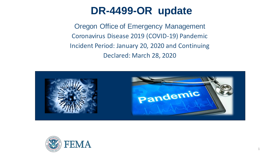### **DR-4499-OR update**

Oregon Office of Emergency Management Coronavirus Disease 2019 (COVID-19) Pandemic Incident Period: January 20, 2020 and Continuing Declared: March 28, 2020



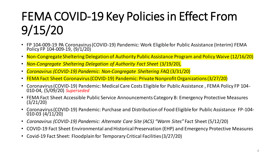# FEMA COVID-19 Key Policies in Effect From 9/15/20

- FP 104-009-19 PA Coronavirus (COVID-19) Pandemic: Work Eligible for Public Assistance (Interim) FEMA Policy FP 104-009-19, (9/1/20)
- Non-Congregate Sheltering Delegation of Authority Public Assistance Program and Policy Waive (12/16/20)
- *Non-Congregate Sheltering Delegation of Authority Fact Sheet (3/19/20)*,
- *Coronavirus (COVID-19) Pandemic: Non-Congregate Sheltering FAQ* (3/31/20)
- FEMA Fact Sheet Coronavirus (COVID-19) Pandemic: Private Nonprofit Organizations (3/27/20)
- Coronavirus (COVID-19) Pandemic: Medical Care Costs Eligible for Public Assistance , FEMA Policy FP 104- 010-04, (5/09/20) *Superseded*
- FEMA Fact Sheet Accessible Public Service Announcements Category B: Emergency Protective Measures (3/21/20)
- Coronavirus (COVID-19) Pandemic: Purchase and Distribution of Food Eligible for Public Assistance FP-104- 010-03 (4/11/20)
- *Coronavirus (COVID-19) Pandemic: Alternate Care Site (ACS) "Warm Sites"* Fact Sheet (5/12/20)
- COVID-19 Fact Sheet Environmental and Historical Preservation (EHP) and Emergency Protective Measures
- Covid-19 Fact Sheet: Floodplain for Temporary Critical Facilities (3/27/20)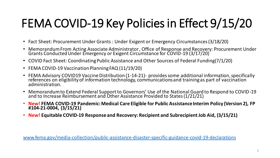# FEMA COVID-19 Key Policies in Effect 9/15/20

- Fact Sheet: Procurement Under Grants : Under Exigent or Emergency Circumstances (3/18/20)
- Memorandum From Acting Associate Administrator , Office of Response and Recovery: Procurement Under Grants Conducted Under Emergency or Exigent Circumstance for COVID-19 (3/17/20)
- COVID Fact Sheet: Coordinating Public Assistance and Other Sources of Federal Funding(7/1/20)
- FEMA COVID-19 Vaccination Planning FAQ (11/19/20)
- FEMA Advisory COVID19 Vaccine Distribution (1-14-21)- provides some additional information, specifically references on eligibility of information technology, communications and training as part of vaccination administration.
- Memorandum to Extend Federal Support to Governors' Use of the National Guard to Respond to COVID-19 and to Increase Reimbursement and Other Assistance Provided to States (1/21/21)
- **New! FEMA COVID-19 Pandemic: Medical Care Eligible for Public Assistance Interim Policy (Version 2), FP #104-21-0004, (3/15/21)**
- **New! Equitable COVID-19 Response and Recovery: Recipient and Subrecipient Job Aid, (3/15/21)**

[www.fema.gov/media-collection/public-assistance-disaster-specific-guidance-covid-19-declarations](http://www.fema.gov/media-collection/public-assistance-disaster-specific-guidance-covid-19-declarations)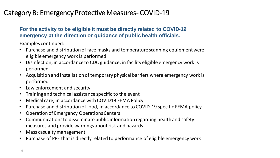### Category B: Emergency Protective Measures- COVID-19

#### **For the activity to be eligible it must be directly related to COVID-19 emergency at the direction or guidance of public health officials.**

Examples continued:

- Purchase and distribution of face masks and temperature scanning equipment were eligible emergency work is performed
- Disinfection, in accordance to CDC guidance, in facility eligible emergency work is performed
- Acquisition and installation of temporary physical barriers where emergency work is performed
- Law enforcement and security
- Training and technical assistance specific to the event
- Medical care, in accordance with COVID19 FEMA Policy
- Purchase and distribution of food, in accordance to COVID-19 specific FEMA policy
- Operation of Emergency Operations Centers
- Communications to disseminate public information regarding health and safety measures and provide warnings about risk and hazards
- Mass casualty management
- Purchase of PPE that is directly related to performance of eligible emergency work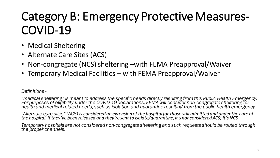# Category B: Emergency Protective Measures-COVID-19

- Medical Sheltering
- Alternate Care Sites (ACS)
- Non-congregate (NCS) sheltering –with FEMA Preapproval/Waiver
- Temporary Medical Facilities with FEMA Preapproval/Waiver

#### *Definitions -*

*"medical sheltering" is meant to address the specific needs directly resulting from this Public Health Emergency. For purposes of eligibility under the COVID-19 declarations, FEMA will consider non-congregate sheltering for health and medical-related needs, such as isolation and quarantine resulting from the public health emergency.* 

*"Alternate care sites" (ACS) is considered an extension of the hospital for those still admitted and under the care of the hospital. If they've been released and they're sent to isolate/quarantine, it's not considered ACS; it's NCS*

*Temporary hospitals are not considered non-congregate sheltering and such requests should be routed through the proper channels.*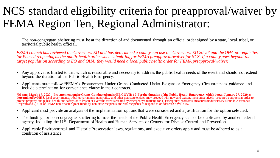## NCS standard eligibility criteria for preapproval/waiver by FEMA Region Ten, Regional Administrator:

• The non-congregate sheltering must be at the direction of and documented through an official order signed by a state, local, tribal, or territorial public health official.

*FEMA council has reviewed the Governors EO and has determined a county can use the Governors EO 20-27 and the OHA prerequisites for Phased reopening as the public health order when submitting for FEMA preapproval/waiver for NCS. If a county goes beyond the target population according to EO and OHA, they would need a local public health order for FEMA preapproval/waiver.* 

- Any approval is limited to that which is reasonable and necessary to address the public health needs of the event and should not extend beyond the duration of the Public Health Emergency.
- Applicants must follow \*FEMA's Procurement Under Grants Conducted Under Exigent or Emergency Circumstances guidance and include a termination for convenience clause in their contracts.

**\*Memo, March 17, 2020 – Procurement under Grants Conducted under EE COVID 19:For the duration of the Public Health Emergency, which began January 27, 2020 as**  determined by HHS, local governments, tribal governments, nonprofits, and other non-state entities may proceed with new and existing noncompetitively procured contracts in order to protect property and public health and safety, or to lessen or avert the threats created by emergency situations for 1) Emergency protective measures under FEMA's Public Assistance Program and 2) Use of FEMA non-disaster grant funds by non-state recipients and sub-recipients to respond to or address COVID-19.

- Applicant must provide an analysis of the implementation options that were considered and a justification for the option selected.
- The funding for non-congregate sheltering to meet the needs of the Public Health Emergency cannot be duplicated by another federal agency, including the U.S. Department of Health and Human Services or Centers for Disease Control and Prevention.
- Applicable Environmental and Historic Preservation laws, regulations, and executive orders apply and must be adhered to as a condition of assistance.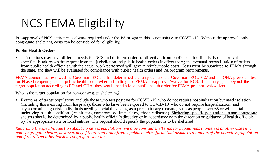# NCS FEMA Eligibility

Pre-approval of NCS activities is always required under the PA program; this is not unique to COVID-19. Without the approval, only congregate sheltering costs can be considered for eligibility.

#### **Public Health Orders**

• Jurisdictions may have different needs for NCS and different orders or directives from public health officials. Each approval specifically addresses the request from the jurisdiction and public health orders in effect there; the eventual reconciliation of orders from public health officials with the actual work performed will govern reimbursable costs. Costs must be submitted to FEMA through the state, and they will be evaluated for compliance with public health orders and PA program requirements.

FEMA council has reviewed the Governors EO and has determined a county can use the Governors EO 20-27 and the OHA prerequisites for Phased reopening as the public health order when submitting for FEMA preapproval/waiver for NCS. If a county goes beyond the target population according to EO and OHA, they would need a local public health order for FEMA preapproval/waiver.

Who is the target population for non-congregate sheltering?

• Examples of target populations include those who test positive for COVID-19 who do not require hospitalization but need isolation (including those exiting from hospitals); those who have been exposed to COVID-19 who do not require hospitalization; and asymptomatic high-risk individuals needing social distancing as a precautionary measure, such as people over 65 or with certain underlying health conditions (respiratory, compromised immunities, chronic disease). Sheltering specific populations in non-congregate shelters should be determined by a public health official's direction or in accordance with the direction or guidance of health officials by the appropriate state or local entities. The request should specify the populations to be sheltered.

*Regarding the specific question about homeless populations, we may consider sheltering for populations (homeless or otherwise ) in a non-congregate shelter; however, only if there's an order from a public health official that displaces members of the homeless population and if there's no other feasible congregate solution.*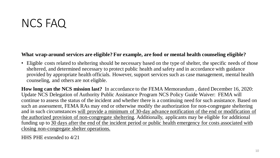### NCS FAQ

#### **What wrap-around services are eligible? For example, are food or mental health counseling eligible?**

• Eligible costs related to sheltering should be necessary based on the type of shelter, the specific needs of those sheltered, and determined necessary to protect public health and safety and in accordance with guidance provided by appropriate health officials. However, support services such as case management, mental health counseling, and others are not eligible.

**How long can the NCS mission last?** In accordance to the FEMA Memorandum , dated December 16, 2020: Update NCS Delegation of Authority Public Assistance Program NCS Policy Guide Waiver: FEMA will continue to assess the status of the incident and whether there is a continuing need for such assistance. Based on such an assessment, FEMA RAs may end or otherwise modify the authorization for non-congregate sheltering and in such circumstances will provide a minimum of 30-day advance notification of the end or modification of the authorized provision of non-congregate sheltering. Additionally, applicants may be eligible for additional funding up to 30 days after the end of the incident period or public health emergency for costs associated with closing non-congregate shelter operations.

HHS PHE extended to 4/21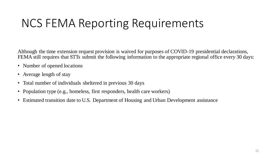## NCS FEMA Reporting Requirements

Although the time extension request provision is waived for purposes of COVID-19 presidential declarations, FEMA still requires that STTs submit the following information to the appropriate regional office every 30 days:

- Number of opened locations
- Average length of stay
- Total number of individuals sheltered in previous 30 days
- Population type (e.g., homeless, first responders, health care workers)
- Estimated transition date to U.S. Department of Housing and Urban Development assistance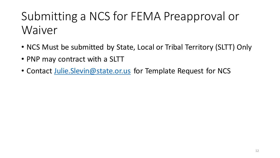# Submitting a NCS for FEMA Preapproval or Waiver

- NCS Must be submitted by State, Local or Tribal Territory (SLTT) Only
- PNP may contract with a SLTT
- Contact Julie. Slevin@state.or.us for Template Request for NCS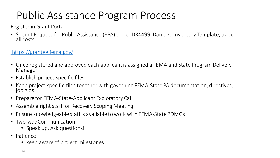### Public Assistance Program Process

Register in Grant Portal

• Submit Request for Public Assistance (RPA) under DR4499, Damage Inventory Template, track all costs

### <https://grantee.fema.gov/>

- Once registered and approved each applicant is assigned a FEMA and State Program Delivery Manager
- Establish project-specific files
- Keep project-specific files together with governing FEMA-State PA documentation, directives, job aids
- Prepare for FEMA-State-Applicant Exploratory Call
- Assemble right staff for Recovery Scoping Meeting
- Ensure knowledgeable staff is available to work with FEMA-State PDMGs
- Two-way Communication
	- Speak up, Ask questions!
- Patience
	- keep aware of project milestones!